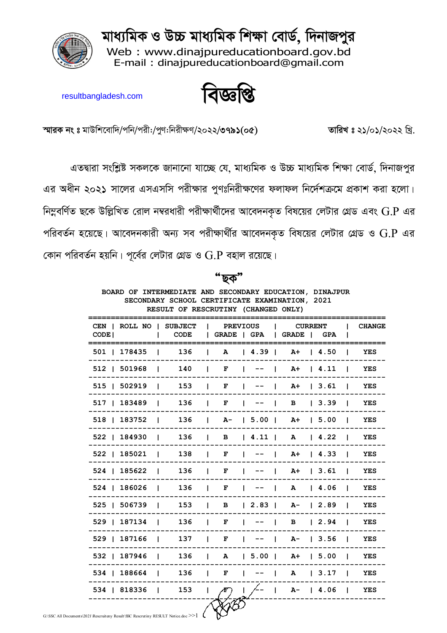মাধ্যমিক ও উচ্চ মাধ্যমিক শিক্ষা বোর্ড, দিনাজপুর

Web: www.dinajpureducationboard.gov.bd E-mail: dinaipureducationboard@gmail.com



বাজ্ঞাপ্প

resultbangladesh.com

্**তারিখ** ঃ ২১/০১/২০২২ খ্রি.

স্মারক নং ঃ মাউশিবোদি/পনি/পরী:/পুণ:নিরীক্ষণ/২০২২/৩৭৯১(০৫)

এতদ্বারা সংশ্লিষ্ট সকলকে জানানো যাচ্ছে যে, মাধ্যমিক ও উচ্চ মাধ্যমিক শিক্ষা বোর্ড, দিনাজপুর এর অধীন ২০২১ সালের এসএসসি পরীক্ষার পুণঃনিরীক্ষণের ফলাফল নির্দেশক্রমে প্রকাশ করা হলো। নিম্নবর্ণিত ছকে উল্লিখিত রোল নম্বরধারী পরীক্ষার্থীদের আবেদনকৃত বিষয়ের লেটার গ্রেড এবং  $\operatorname{G.P}$  এর পরিবর্তন হয়েছে। আবেদনকারী অন্য সব পরীক্ষার্থীর আবেদনকৃত বিষয়ের লেটার গ্রেড ও  $\rm G.P$  এর কোন পরিবর্তন হয়নি। পূর্বের লেটার গ্রেড ও  $\operatorname{G.P}$  বহাল রয়েছে।

| BOARD OF INTERMEDIATE AND SECONDARY EDUCATION, DINAJPUR<br>SECONDARY SCHOOL CERTIFICATE EXAMINATION, 2021<br>RESULT OF RESCRUTINY (CHANGED ONLY) |    |      |  |                               |  |                 |  |                                               |  |                      |               |
|--------------------------------------------------------------------------------------------------------------------------------------------------|----|------|--|-------------------------------|--|-----------------|--|-----------------------------------------------|--|----------------------|---------------|
| CEN   ROLL NO   SUBJECT<br>CODE <sub>I</sub>                                                                                                     | Ι. | CODE |  |                               |  | <b>PREVIOUS</b> |  | <b>CURRENT</b><br>  GRADE   GPA   GRADE   GPA |  | L                    | <b>CHANGE</b> |
| 501   178435   136   A   4.39   A +   4.50                                                                                                       |    |      |  |                               |  |                 |  |                                               |  |                      | YES           |
| $512$   $501968$   $140$   F   --   A+   4.11                                                                                                    |    |      |  |                               |  |                 |  |                                               |  |                      | YES           |
| 515   502919   153   F                                                                                                                           |    |      |  |                               |  |                 |  | $ - -  $ A+   3.61                            |  |                      | YES           |
| 517   183489   136                                                                                                                               |    |      |  | $\mathbf{F}$                  |  |                 |  | $\vert$ -- $\vert$ B                          |  | $\vert$ 3.39 $\vert$ | YES           |
| 518   183752   136   A-   5.00   A+   5.00   YES                                                                                                 |    |      |  |                               |  |                 |  |                                               |  |                      |               |
| 522   184930   136   B   4.11   A   4.22                                                                                                         |    |      |  |                               |  |                 |  |                                               |  |                      | YES           |
| 522   185021   138                                                                                                                               |    |      |  |                               |  |                 |  | $  F   --   At   4.33  $                      |  |                      | <b>YES</b>    |
| 524   185622                                                                                                                                     |    | 136  |  | $\blacksquare$                |  |                 |  | $ - -  $ A+   3.61                            |  |                      | YES           |
| 524   186026   136                                                                                                                               |    |      |  | $\mathbf{F}$                  |  |                 |  | $ - -  $ A $ $ 4.06 $ $                       |  |                      | YES           |
| 525   506739   153   B   2.83   A-   2.89                                                                                                        |    |      |  |                               |  |                 |  |                                               |  |                      | <b>YES</b>    |
| 529   187134   136                                                                                                                               |    |      |  | $\mathbf{F}$ and $\mathbf{F}$ |  |                 |  | $ - -  $ B $  2.94  $                         |  |                      | YES           |
| 529   187166   137   F   --   A-   3.56                                                                                                          |    |      |  |                               |  |                 |  |                                               |  |                      | YES           |
| 532   187946   136   A   5.00   A+   5.00                                                                                                        |    |      |  |                               |  |                 |  |                                               |  |                      | YES           |
| 534   188664   136   F   --   A   3.17                                                                                                           |    |      |  |                               |  |                 |  |                                               |  |                      | YES           |
| 534   818336   153                                                                                                                               |    |      |  | $\left  \right $ $\sqrt{F}$   |  |                 |  | $1/- - 1$ A-   4.06   YES                     |  |                      |               |
| $\frac{1}{1021}$ Rescription Result SSC Rescription RESULT Notice doc $\geq 1$                                                                   |    |      |  |                               |  |                 |  |                                               |  |                      |               |

'ছক"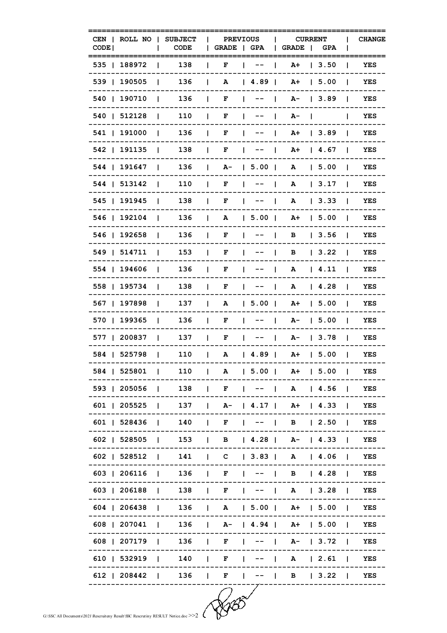| CODE <sup>1</sup> | CEN   ROLL NO      | <b>SUBJECT</b><br><b>CODE</b>                    |              | GRADE   GPA | <b>PREVIOUS</b>                                                                                                                                       | GRADE                 |              | <b>CURRENT</b><br>GPA |                | <b>CHANGE</b> |
|-------------------|--------------------|--------------------------------------------------|--------------|-------------|-------------------------------------------------------------------------------------------------------------------------------------------------------|-----------------------|--------------|-----------------------|----------------|---------------|
|                   | 535   188972       | 138                                              |              | F           |                                                                                                                                                       | A+                    |              | 1, 3.50               | Ι.             | YES           |
|                   | 539   190505       | 136<br>L                                         | $\mathbf{L}$ | A           | 4.89                                                                                                                                                  | A+                    |              | $1\,5.00$             |                | YES           |
|                   | 540   190710       | 136<br>$\mathbf{I}$                              | $\mathbf{F}$ |             | $1 - - - 1$                                                                                                                                           |                       |              | $A - 13.89$           | $\mathbf{I}$   | YES           |
|                   | 540   512128       | 110<br>$\blacksquare$                            | $\mathbf{1}$ | F           | $\blacksquare$                                                                                                                                        | A-                    | $\mathbf{I}$ |                       |                | YES           |
|                   | 541   191000       | 136<br>$\mathbf{I}$                              | $\mathbf{I}$ | F           | $\blacksquare$ $\blacksquare$ $\blacksquare$ $\blacksquare$ $\blacksquare$ $\blacksquare$ $\blacksquare$ $\blacksquare$ $\blacksquare$ $\blacksquare$ | A+ 13.89              |              |                       | $\blacksquare$ | YES           |
|                   | 542   191135       | 138<br>$\mathbf{L}$                              | $\mathbf{L}$ | F           | $\blacksquare$<br>$\blacksquare$                                                                                                                      |                       |              | A+ 14.67              | $\mathbf{I}$   | YES           |
|                   | 544   191647       | 136<br>$\mathbf{L}$                              | $\mathbf{L}$ |             | $A - 15.00$                                                                                                                                           | A                     |              | 15.00                 | $\mathbf{L}$   | YES           |
|                   | 544   513142       | 110<br>$\blacksquare$                            | $\mathbf{I}$ | F           | $\begin{bmatrix} 1 & -1 \\ 1 & -1 \end{bmatrix}$                                                                                                      | A                     |              | 13.17                 | - 1            | YES           |
|                   | 545   191945       | 138<br>$\blacksquare$                            | $\mathbf{I}$ | F           | $\begin{array}{ccc} \begin{array}{ccc} \end{array} & \begin{array}{ccc} \end{array} & \end{array}$                                                    | A                     |              | 13.33                 | $\mathbf{I}$   | YES           |
|                   | 546   192104       | 136<br>L                                         | $\mathbf{L}$ | A           | $ 5.00 $ A+ $ 5.00 $                                                                                                                                  |                       |              |                       |                | YES           |
|                   | 546   192658       | 136                                              | $\mathbf{L}$ | F           | $1 - - -$                                                                                                                                             | B                     |              | 3.56                  |                | YES           |
|                   | 549   514711       | 153<br>$\mathbf{I}$                              | $\mathbf{L}$ | F           | $\mathbf{1}$ $\mathbf{1}$ $\mathbf{1}$                                                                                                                | B                     |              | 13.22                 | $\mathbf{I}$   | YES           |
|                   | 554   194606       | 136<br>$\mathbf{L}$                              | $\mathbf{I}$ | F           | $\blacksquare$                                                                                                                                        | $\mathbf{A}$          |              | $\vert$ 4.11          | $\mathbf{I}$   | YES           |
|                   | 558   195734       | 138<br>Ι.                                        | $\perp$      | F           | $\blacksquare$                                                                                                                                        |                       |              | A   4.28              | $\mathbf{I}$   | YES           |
|                   | 567   197898       | 137<br>$\mathbf{L}$                              | $\mathbf{L}$ | A           | $\vert 5.00 \vert$ A+                                                                                                                                 |                       |              | <b>15.00</b>          | $\mathbf{I}$   | YES           |
|                   | 570   199365       | 136<br>$\mathbf{I}$                              | $\mathbf{I}$ | F           | $\begin{array}{ccc} \n & - - & \n \end{array}$                                                                                                        |                       |              | $A - 15.00$           | $\mathbf{I}$   | YES           |
|                   | 577   200837       | 137<br>$\Box$                                    | $\mathbf{L}$ | F           | $ - -  $ $A-$   3.78                                                                                                                                  |                       |              |                       | $\blacksquare$ | YES           |
|                   | 584   525798       | 110                                              | $\mathbf{1}$ |             | A   4.89   A+   5.00                                                                                                                                  |                       |              |                       | $\blacksquare$ | YES           |
|                   | 584   525801       | $ $ 110   A   5.00   A +   5.00                  |              |             |                                                                                                                                                       |                       |              |                       |                | YES           |
|                   |                    | 593   205056   138                               |              | F.          | $ - -  $ A   4.56   YES                                                                                                                               |                       |              |                       |                |               |
|                   |                    | 601   205525   137   A-   4.17   A+   4.33   YES |              |             |                                                                                                                                                       |                       |              |                       |                |               |
|                   | 601   528436   140 |                                                  |              |             | $\vert$ F $\vert$ -- $\vert$ B $\vert$ 2.50 $\vert$                                                                                                   |                       |              |                       |                | YES           |
|                   |                    | 602   528505   153   B   4.28   A-   4.33   YES  |              |             |                                                                                                                                                       |                       |              |                       |                |               |
|                   |                    | 602   528512   141   C   3.83   A   4.06   YES   |              |             |                                                                                                                                                       |                       |              |                       |                |               |
|                   |                    | 603   206116   136   F   $-$   B   4.28   YES    |              |             |                                                                                                                                                       |                       |              |                       |                |               |
|                   |                    | 603   206188   138   F   --   A   3.28   YES     |              |             |                                                                                                                                                       |                       |              |                       |                |               |
|                   |                    | 604   206438   136   A   5.00   A+   5.00   YES  |              |             |                                                                                                                                                       |                       |              |                       |                |               |
|                   |                    | 608   207041   136   A-   4.94   A+   5.00   YES |              |             |                                                                                                                                                       |                       |              |                       |                |               |
|                   |                    | 608   207179   136                               |              | F           |                                                                                                                                                       | $  A -   3.72   YES$  |              |                       |                |               |
|                   |                    | 610   532919   140                               |              | F           | L                                                                                                                                                     | $--$   A   2.61   YES |              |                       |                |               |
|                   |                    | 612   208442   136   F                           |              |             | $ - -   B   3.22   YES$                                                                                                                               |                       |              |                       |                |               |

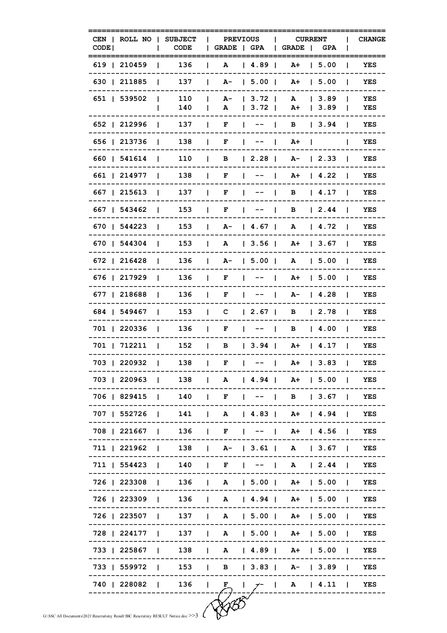| CODE <sup>1</sup> |                    | CEN   ROLL NO   SUBJECT   PREVIOUS   CURRENT<br>I CODE                            | GRADE   GPA   GRADE   GPA                                          |             |                     |                          | <b>CHANGE</b> |
|-------------------|--------------------|-----------------------------------------------------------------------------------|--------------------------------------------------------------------|-------------|---------------------|--------------------------|---------------|
| =========         |                    | ==================<br>619   210459   136   A   4.89   A +   5.00                  |                                                                    |             |                     |                          | ======<br>YES |
|                   | 630   211885   137 |                                                                                   | $ $ A- $ $ 5.00 $ $ A+ $ $ 5.00 $ $                                |             |                     |                          | YES           |
|                   | 651   539502       | 110<br>140<br>and the state                                                       | $ $ A- $ $ 3.72   A $ $ 3.89   YES<br>  A   3.72   A+   3.89   YES |             |                     |                          |               |
|                   |                    | 652   212996   137   F   --   B   3.94                                            |                                                                    |             |                     |                          | <b>YES</b>    |
|                   |                    | 656   213736   138   F   --   A+                                                  |                                                                    |             |                     |                          | YES           |
|                   | 660   541614       |                                                                                   | 110   B   2.28   A-   2.33                                         |             |                     |                          | YES           |
|                   | 661   214977       | 138   F                                                                           |                                                                    |             |                     | $ - -  $ A+ $ $ 4.22 $ $ | YES           |
|                   |                    | 667   215613   137   F   --   B   4.17                                            |                                                                    |             |                     |                          | YES           |
|                   |                    | 667   543462   153   F   --   B   2.44   YES                                      |                                                                    |             |                     |                          |               |
|                   |                    | 670   544223   153   A-   4.67   A   4.72                                         |                                                                    |             |                     |                          | YES           |
|                   | 670   544304       |                                                                                   | 153   A   3.56   A+   3.67                                         |             |                     |                          | YES           |
|                   |                    | $672$   216428   136   A-   5.00   A   5.00                                       |                                                                    |             |                     |                          | <b>YES</b>    |
|                   |                    | 676   217929   136   F   --   A+   5.00                                           |                                                                    |             |                     |                          | YES           |
|                   |                    | 677   218688   136   F   --   A-   4.28                                           |                                                                    |             |                     |                          | <b>YES</b>    |
|                   | 684   549467       |                                                                                   | 153   C   2.67   B   2.78                                          |             |                     |                          | YES           |
|                   |                    | 701   220336   136   F   --   B   4.00   YES                                      |                                                                    |             |                     |                          |               |
|                   |                    | 701   712211   152   B   3.94   A+   4.17                                         |                                                                    |             |                     |                          | YES           |
|                   |                    | 703   220932   138   F                                                            |                                                                    |             |                     | $ - -  $ A+   3.83   YES |               |
|                   | 703   220963       | 138                                                                               | $\mathbf{L}$<br>A                                                  |             | $ 4.94 $ A+ $ 5.00$ | $\blacksquare$           | YES           |
|                   | 706   829415       | 140                                                                               | F<br>$\mathbf{L}$                                                  | $1 - - - 1$ |                     | B   3.67                 | YES           |
|                   | 707   552726       | 141                                                                               | $\mathbf{L}$<br>A                                                  |             |                     | $ 4.83 $ A+ $ 4.94 $     | YES           |
|                   | 708   221667       | 136                                                                               | $\mathbf{F}$<br>$\mathbf{L}$                                       | $1 - - -$   |                     | A+   4.56                | YES           |
|                   | 711   221962       | 138                                                                               | $ $ A-   3.61   A   3.67                                           |             |                     |                          | YES           |
|                   | 711   554423       | 140                                                                               | $\mathbf{L}$<br>$\mathbf{F}$                                       |             |                     |                          | YES           |
|                   | 726   223308       |                                                                                   | 136   A   5.00   A+   5.00                                         |             |                     |                          | YES           |
|                   | 726   223309       |                                                                                   | 136   A   4.94   A +   5.00                                        |             |                     |                          | YES           |
|                   | 726   223507       | 137                                                                               | $\vert$ A $\vert$ 5.00   A + $\vert$ 5.00                          |             |                     |                          | YES           |
|                   | 728   224177       | 137                                                                               | $\mathbf{L}$                                                       |             |                     | A   5.00   A+   5.00     | YES           |
|                   | 733   225867       | 138                                                                               | $\vert$ A $\vert$ 4.89   A+   5.00                                 |             |                     |                          | YES           |
|                   | 733   559972       | 153                                                                               | $\vert$ B $\vert$ 3.83   A-   3.89                                 |             |                     |                          | YES           |
|                   | 740   228082       | 136                                                                               | $\blacksquare$<br>F.                                               | $7 - 1$     |                     | A   4.11                 | YES           |
|                   |                    |                                                                                   |                                                                    |             |                     |                          |               |
|                   |                    | G:\SSC All Documents\2021\Rescruiteny Result\SSC Rescrutiny RESULT Notice.doc >>3 |                                                                    |             |                     |                          |               |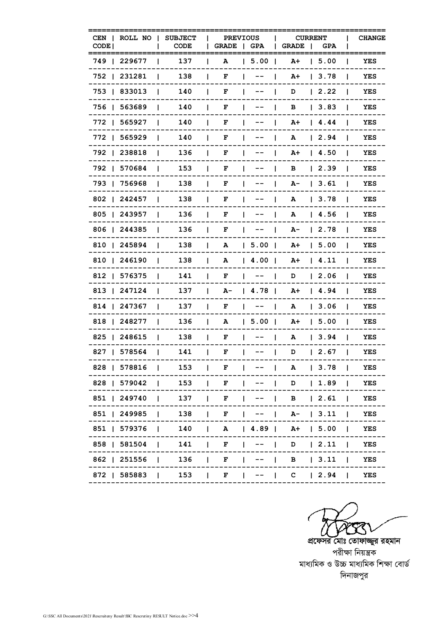| ROLL NO<br>CEN     | <b>SUBJECT</b>                  | <b>PREVIOUS</b>   |                                        | <b>CURRENT</b>                 |         | <b>CHANGE</b>       |
|--------------------|---------------------------------|-------------------|----------------------------------------|--------------------------------|---------|---------------------|
| CODE <sup>1</sup>  | CODE                            | <b>GRADE</b>      | GPA                                    | <b>GRADE</b><br>$\blacksquare$ | GPA     |                     |
| 749   229677       | 137                             | A                 | 5.00                                   | A+                             | 1, 5.00 | YES                 |
| 752   231281       | 138                             | F                 | $- -$                                  | A+                             | 3.78    | YES                 |
| 753   833013       | 140<br>L                        | F<br>L            |                                        | D<br>$\mathbf{I}$              | 2.22    | YES                 |
| 756   563689       | 140<br>L                        | L<br>F            |                                        | в<br>$\mathbf{I}$              | 3.83    | YES                 |
| 772   565927       | 140                             | F                 | Ι.                                     | A+<br>J.                       | 14.44   | YES                 |
| 772   565929       | 140<br>L                        | F<br>ı            |                                        | А<br>L                         | 12.94   | YES                 |
| 792   238818       | 136                             | F                 |                                        | A+                             | 14.50   | YES                 |
| 792   570684       | 153<br>L                        | L<br>F            | Ι.                                     | в<br>$\mathbf{I}$              | 12.39   | YES<br>-1           |
| 793   756968       | 138                             | L<br>F            | $\mathbf{I}$<br>$- -$                  | A-<br>L                        | 3.61    | YES                 |
| 802   242457       | 138<br>L                        | F<br>L            | $- -$<br>Ι.                            | A<br>$\mathbf{I}$              | 3.78    | YES<br>I.           |
| 805   243957       | 136                             | F                 |                                        | A                              | 14.56   | YES                 |
| 806   244385       | 136                             | F                 | $\hspace{0.1em}$ – $\hspace{0.1em}$ –  | A-                             | 12.78   | YES                 |
| 810   245894       | 138<br>L                        | L<br>А            | 5.00                                   | A+                             | 1, 5.00 | YES<br>I.           |
| 810   246190       | 138<br>L                        | L<br>А            | 4.00                                   | A+                             | 14.11   | YES                 |
| 812   576375       | 141<br>L                        | F                 | $1 - - - 1$                            | D                              | 2.06    | YES<br>$\mathbf{I}$ |
| 813   247124       | 137<br>L                        | L<br>A-           | 14.78                                  | A+                             | 14.94   | YES<br>ш            |
| 814   247367       | 137                             | F<br>L            | $- - -$                                | A<br>$\mathbf{I}$              | 3.06    | YES                 |
| 818   248277       | 136<br>L                        | А<br>L            | 5.00                                   | A+                             | 1, 5.00 | YES<br>$\mathbf{I}$ |
| 825   248615       | 138<br>L                        | L<br>F            | $\mathbf{L}$<br>$- - -$                | $\mathbf{I}$<br>А              | 13.94   | YES                 |
| 827   578564       | 141<br>$\mathbf{I}$             | F<br>L            | $\mathbf{I}$ $\mathbf{I}$ $\mathbf{I}$ | D<br>$\perp$                   | 12.67   | YES<br>L            |
| 828   578816       | 153                             | F                 |                                        | A                              | 13.78   | YES                 |
| 828   579042   153 |                                 | F.                |                                        | $-$   D   1.89                 |         | YES                 |
| 851   249740   137 |                                 | $\mathbf{L}$<br>F |                                        | $\vert$ B $\vert$ 2.61         |         | $\mathbf{1}$<br>YES |
| 851   249985       | 138<br><b>Contract Contract</b> | $\mathbf{L}$<br>F | $\mathbf{L}$<br>$--$                   | $  A -   3.11$                 |         | YES<br>$\mathbf{I}$ |
| 851   579376       | 140                             |                   |                                        | $ $ A $ $ 4.89   A+   5.00     |         | YES                 |
| 858   581504       | 141                             | $\mathbf{F}$      |                                        | $  - -  $ D $  2.11  $         |         | YES                 |
| 862   251556       | 136                             | L<br>F            |                                        | $\vert$ B $\vert$ 3.11         |         | YES                 |
| 872   585883   153 |                                 |                   |                                        | $F$   --   C   2.94   YES      |         |                     |

 $\bigcirc$   $\bigcirc$   $\bigcirc$   $\bigcirc$   $\bigcirc$   $\bigcirc$   $\bigcirc$   $\bigcirc$   $\bigcirc$   $\bigcirc$   $\bigcirc$   $\bigcirc$   $\bigcirc$   $\bigcirc$   $\bigcirc$   $\bigcirc$   $\bigcirc$   $\bigcirc$   $\bigcirc$   $\bigcirc$   $\bigcirc$   $\bigcirc$   $\bigcirc$   $\bigcirc$   $\bigcirc$   $\bigcirc$   $\bigcirc$   $\bigcirc$   $\bigcirc$   $\bigcirc$   $\bigcirc$   $\bigcirc$   $\bigcirc$   $\bigcirc$   $\bigcirc$   $\bigcirc$   $\bigcirc$ 

পরীক্ষা নিয়ন্ত্রক মাধ্যমিক ও উচ্চ মাধ্যমিক শিক্ষা বোৰ্ড দিনাজপুর